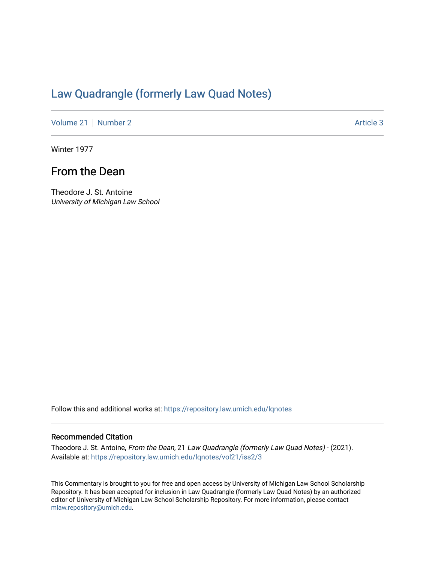## [Law Quadrangle \(formerly Law Quad Notes\)](https://repository.law.umich.edu/lqnotes)

[Volume 21](https://repository.law.umich.edu/lqnotes/vol21) [Number 2](https://repository.law.umich.edu/lqnotes/vol21/iss2) Article 3

Winter 1977

## From the Dean

Theodore J. St. Antoine University of Michigan Law School

Follow this and additional works at: [https://repository.law.umich.edu/lqnotes](https://repository.law.umich.edu/lqnotes?utm_source=repository.law.umich.edu%2Flqnotes%2Fvol21%2Fiss2%2F3&utm_medium=PDF&utm_campaign=PDFCoverPages) 

## Recommended Citation

Theodore J. St. Antoine, From the Dean, 21 Law Quadrangle (formerly Law Quad Notes) - (2021). Available at: [https://repository.law.umich.edu/lqnotes/vol21/iss2/3](https://repository.law.umich.edu/lqnotes/vol21/iss2/3?utm_source=repository.law.umich.edu%2Flqnotes%2Fvol21%2Fiss2%2F3&utm_medium=PDF&utm_campaign=PDFCoverPages) 

This Commentary is brought to you for free and open access by University of Michigan Law School Scholarship Repository. It has been accepted for inclusion in Law Quadrangle (formerly Law Quad Notes) by an authorized editor of University of Michigan Law School Scholarship Repository. For more information, please contact [mlaw.repository@umich.edu.](mailto:mlaw.repository@umich.edu)